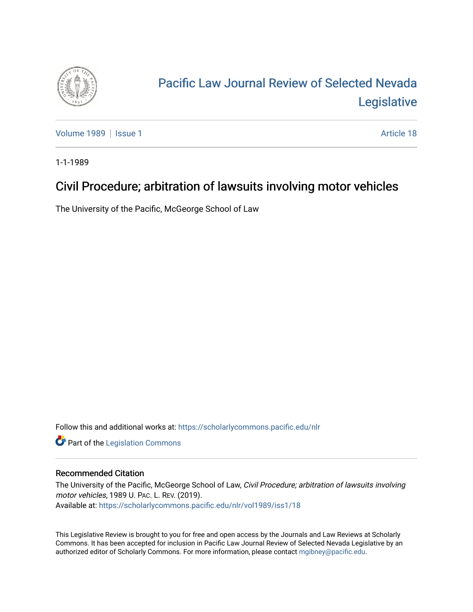

# [Pacific Law Journal Review of Selected Nevada](https://scholarlycommons.pacific.edu/nlr)  [Legislative](https://scholarlycommons.pacific.edu/nlr)

[Volume 1989](https://scholarlycommons.pacific.edu/nlr/vol1989) | [Issue 1](https://scholarlycommons.pacific.edu/nlr/vol1989/iss1) Article 18

1-1-1989

## Civil Procedure; arbitration of lawsuits involving motor vehicles

The University of the Pacific, McGeorge School of Law

Follow this and additional works at: [https://scholarlycommons.pacific.edu/nlr](https://scholarlycommons.pacific.edu/nlr?utm_source=scholarlycommons.pacific.edu%2Fnlr%2Fvol1989%2Fiss1%2F18&utm_medium=PDF&utm_campaign=PDFCoverPages) 

**Part of the [Legislation Commons](http://network.bepress.com/hgg/discipline/859?utm_source=scholarlycommons.pacific.edu%2Fnlr%2Fvol1989%2Fiss1%2F18&utm_medium=PDF&utm_campaign=PDFCoverPages)** 

#### Recommended Citation

The University of the Pacific, McGeorge School of Law, Civil Procedure; arbitration of lawsuits involving motor vehicles, 1989 U. PAC. L. REV. (2019). Available at: [https://scholarlycommons.pacific.edu/nlr/vol1989/iss1/18](https://scholarlycommons.pacific.edu/nlr/vol1989/iss1/18?utm_source=scholarlycommons.pacific.edu%2Fnlr%2Fvol1989%2Fiss1%2F18&utm_medium=PDF&utm_campaign=PDFCoverPages)

This Legislative Review is brought to you for free and open access by the Journals and Law Reviews at Scholarly Commons. It has been accepted for inclusion in Pacific Law Journal Review of Selected Nevada Legislative by an authorized editor of Scholarly Commons. For more information, please contact [mgibney@pacific.edu](mailto:mgibney@pacific.edu).